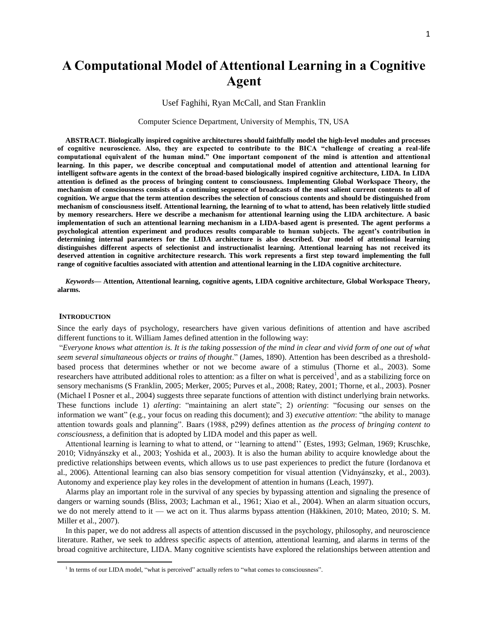# **A Computational Model of Attentional Learning in a Cognitive Agent**

Usef Faghihi, Ryan McCall, and Stan Franklin

Computer Science Department, University of Memphis, TN, USA

**ABSTRACT. Biologically inspired cognitive architectures should faithfully model the high-level modules and processes of cognitive neuroscience. Also, they are expected to contribute to the BICA "challenge of creating a real-life computational equivalent of the human mind." One important component of the mind is attention and attentional learning. In this paper, we describe conceptual and computational model of attention and attentional learning for intelligent software agents in the context of the broad-based biologically inspired cognitive architecture, LIDA. In LIDA attention is defined as the process of bringing content to consciousness. Implementing Global Workspace Theory, the mechanism of consciousness consists of a continuing sequence of broadcasts of the most salient current contents to all of cognition. We argue that the term attention describes the selection of conscious contents and should be distinguished from mechanism of consciousness itself. Attentional learning, the learning of to what to attend, has been relatively little studied by memory researchers. Here we describe a mechanism for attentional learning using the LIDA architecture. A basic implementation of such an attentional learning mechanism in a LIDA-based agent is presented. The agent performs a psychological attention experiment and produces results comparable to human subjects. The agent's contribution in determining internal parameters for the LIDA architecture is also described. Our model of attentional learning distinguishes different aspects of selectionist and instructionalist learning. Attentional learning has not received its deserved attention in cognitive architecture research. This work represents a first step toward implementing the full range of cognitive faculties associated with attention and attentional learning in the LIDA cognitive architecture.**

*Keywords***— Attention, Attentional learning, cognitive agents, LIDA cognitive architecture, Global Workspace Theory, alarms.**

## **INTRODUCTION**

 $\overline{\phantom{a}}$ 

Since the early days of psychology, researchers have given various definitions of attention and have ascribed different functions to it. William James defined attention in the following way:

"*Everyone knows what attention is. It is the taking possession of the mind in clear and vivid form of one out of what seem several simultaneous objects or trains of thought*." [\(James, 1890\)](#page-13-0). Attention has been described as a thresholdbased process that determines whether or not we become aware of a stimulus [\(Thorne et al., 2003\)](#page-14-0). Some researchers have attributed additional roles to attention: as a filter on what is perceived<sup>1</sup>, and as a stabilizing force on sensory mechanisms [\(S Franklin, 2005;](#page-13-1) [Merker, 2005;](#page-14-1) [Purves et al., 2008;](#page-14-2) [Ratey, 2001;](#page-14-3) [Thorne, et al., 2003\)](#page-14-0). Posner [\(Michael I Posner et al., 2004\)](#page-14-4) suggests three separate functions of attention with distinct underlying brain networks. These functions include 1) *alerting*: "maintaining an alert state"; 2) *orienting*: "focusing our senses on the information we want" (e.g., your focus on reading this document); and 3) *executive attention*: "the ability to manage attention towards goals and planning". Baars (1988, p299) defines attention as *the process of bringing content to consciousness*, a definition that is adopted by LIDA model and this paper as well.

Attentional learning is learning to what to attend, or ''learning to attend'' [\(Estes, 1993;](#page-13-2) [Gelman, 1969;](#page-13-3) [Kruschke,](#page-13-4)  [2010;](#page-13-4) [Vidnyánszky et al., 2003;](#page-15-0) [Yoshida et al., 2003\)](#page-15-1). It is also the human ability to acquire knowledge about the predictive relationships between events, which allows us to use past experiences to predict the future [\(Iordanova et](#page-13-5)  [al., 2006\)](#page-13-5). Attentional learning can also bias sensory competition for visual attention [\(Vidnyánszky, et al., 2003\)](#page-15-0). Autonomy and experience play key roles in the development of attention in humans [\(Leach, 1997\)](#page-13-6).

Alarms play an important role in the survival of any species by bypassing attention and signaling the presence of dangers or warning sounds [\(Bliss, 2003;](#page-12-0) [Lachman et al., 1961;](#page-13-7) [Xiao et al., 2004\)](#page-15-2). When an alarm situation occurs, we do not merely attend to it — we act on it. Thus alarms bypass attention [\(Häkkinen, 2010;](#page-13-8) [Mateo, 2010;](#page-14-5) [S. M.](#page-14-6)  [Miller et al., 2007\)](#page-14-6).

In this paper, we do not address all aspects of attention discussed in the psychology, philosophy, and neuroscience literature. Rather, we seek to address specific aspects of attention, attentional learning, and alarms in terms of the broad cognitive architecture, LIDA. Many cognitive scientists have explored the relationships between attention and

<sup>&</sup>lt;sup>1</sup> In terms of our LIDA model, "what is perceived" actually refers to "what comes to consciousness".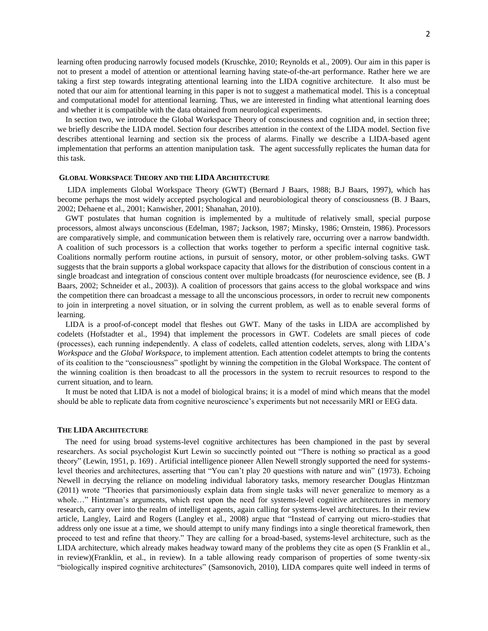learning often producing narrowly focused models [\(Kruschke, 2010;](#page-13-4) [Reynolds et al., 2009\)](#page-14-7). Our aim in this paper is not to present a model of attention or attentional learning having state-of-the-art performance. Rather here we are taking a first step towards integrating attentional learning into the LIDA cognitive architecture. It also must be noted that our aim for attentional learning in this paper is not to suggest a mathematical model. This is a conceptual and computational model for attentional learning. Thus, we are interested in finding what attentional learning does and whether it is compatible with the data obtained from neurological experiments.

In section two, we introduce the Global Workspace Theory of consciousness and cognition and, in section three; we briefly describe the LIDA model. Section four describes attention in the context of the LIDA model. Section five describes attentional learning and section six the process of alarms. Finally we describe a LIDA-based agent implementation that performs an attention manipulation task. The agent successfully replicates the human data for this task.

#### **GLOBAL WORKSPACE THEORY AND THE LIDA ARCHITECTURE**

LIDA implements Global Workspace Theory (GWT) [\(Bernard J Baars, 1988;](#page-12-1) [B.J Baars, 1997\)](#page-12-2), which has become perhaps the most widely accepted psychological and neurobiological theory of consciousness [\(B. J Baars,](#page-12-3)  [2002;](#page-12-3) [Dehaene et al., 2001;](#page-12-4) [Kanwisher, 2001;](#page-13-9) [Shanahan, 2010\)](#page-14-8).

GWT postulates that human cognition is implemented by a multitude of relatively small, special purpose processors, almost always unconscious [\(Edelman, 1987;](#page-13-10) [Jackson, 1987;](#page-13-11) [Minsky, 1986;](#page-14-9) [Ornstein, 1986\)](#page-14-10). Processors are comparatively simple, and communication between them is relatively rare, occurring over a narrow bandwidth. A coalition of such processors is a collection that works together to perform a specific internal cognitive task. Coalitions normally perform routine actions, in pursuit of sensory, motor, or other problem-solving tasks. GWT suggests that the brain supports a global workspace capacity that allows for the distribution of conscious content in a single broadcast and integration of conscious content over multiple broadcasts (for neuroscience evidence, see [\(B. J](#page-12-3)  [Baars, 2002;](#page-12-3) [Schneider et al., 2003\)](#page-14-11)). A coalition of processors that gains access to the global workspace and wins the competition there can broadcast a message to all the unconscious processors, in order to recruit new components to join in interpreting a novel situation, or in solving the current problem, as well as to enable several forms of learning.

LIDA is a proof-of-concept model that fleshes out GWT. Many of the tasks in LIDA are accomplished by codelets [\(Hofstadter et al., 1994\)](#page-13-12) that implement the processors in GWT. Codelets are small pieces of code (processes), each running independently. A class of codelets, called attention codelets, serves, along with LIDA's *Workspace* and the *Global Workspace*, to implement attention. Each attention codelet attempts to bring the contents of its coalition to the "consciousness" spotlight by winning the competition in the Global Workspace. The content of the winning coalition is then broadcast to all the processors in the system to recruit resources to respond to the current situation, and to learn.

It must be noted that LIDA is not a model of biological brains; it is a model of mind which means that the model should be able to replicate data from cognitive neuroscience's experiments but not necessarily MRI or EEG data.

# **THE LIDA ARCHITECTURE**

The need for using broad systems-level cognitive architectures has been championed in the past by several researchers. As social psychologist Kurt Lewin so succinctly pointed out "There is nothing so practical as a good theory" [\(Lewin, 1951, p. 169\)](#page-13-13) . Artificial intelligence pioneer Allen Newell strongly supported the need for systemslevel theories and architectures, asserting that "You can't play 20 questions with nature and win" [\(1973\)](#page-14-12). Echoing Newell in decrying the reliance on modeling individual laboratory tasks, memory researcher Douglas Hintzman [\(2011\)](#page-13-14) wrote "Theories that parsimoniously explain data from single tasks will never generalize to memory as a whole..." Hintzman's arguments, which rest upon the need for systems-level cognitive architectures in memory research, carry over into the realm of intelligent agents, again calling for systems-level architectures. In their review article, Langley, Laird and Rogers [\(Langley et al., 2008\)](#page-13-15) argue that "Instead of carrying out micro-studies that address only one issue at a time, we should attempt to unify many findings into a single theoretical framework, then proceed to test and refine that theory." They are calling for a broad-based, systems-level architecture, such as the LIDA architecture, which already makes headway toward many of the problems they cite as open [\(S Franklin et al.,](#page-13-16)  [in review\)](#page-13-16)(Franklin, et al., in review). In a table allowing ready comparison of properties of some twenty-six "biologically inspired cognitive architectures" [\(Samsonovich, 2010\)](#page-14-13), LIDA compares quite well indeed in terms of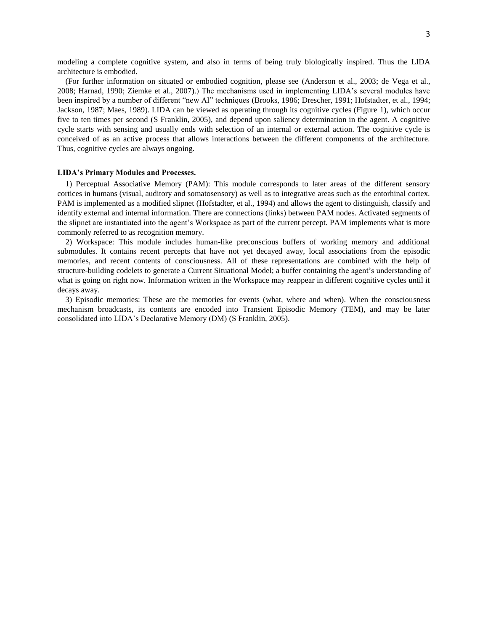modeling a complete cognitive system, and also in terms of being truly biologically inspired. Thus the LIDA architecture is embodied.

(For further information on situated or embodied cognition, please see [\(Anderson et al., 2003;](#page-12-5) [de Vega et al.,](#page-12-6)  [2008;](#page-12-6) [Harnad, 1990;](#page-13-17) [Ziemke et al., 2007\)](#page-15-3).) The mechanisms used in implementing LIDA's several modules have been inspired by a number of different "new AI" techniques [\(Brooks, 1986;](#page-12-7) [Drescher, 1991;](#page-13-18) [Hofstadter, et al., 1994;](#page-13-12) [Jackson, 1987;](#page-13-11) [Maes, 1989\)](#page-14-14). LIDA can be viewed as operating through its cognitive cycles (Figure 1), which occur five to ten times per second [\(S Franklin, 2005\)](#page-13-1), and depend upon saliency determination in the agent. A cognitive cycle starts with sensing and usually ends with selection of an internal or external action. The cognitive cycle is conceived of as an active process that allows interactions between the different components of the architecture. Thus, cognitive cycles are always ongoing.

### **LIDA's Primary Modules and Processes.**

1) Perceptual Associative Memory (PAM): This module corresponds to later areas of the different sensory cortices in humans (visual, auditory and somatosensory) as well as to integrative areas such as the entorhinal cortex. PAM is implemented as a modified slipnet [\(Hofstadter, et al., 1994\)](#page-13-12) and allows the agent to distinguish, classify and identify external and internal information. There are connections (links) between PAM nodes. Activated segments of the slipnet are instantiated into the agent's Workspace as part of the current percept. PAM implements what is more commonly referred to as recognition memory.

2) Workspace: This module includes human-like preconscious buffers of working memory and additional submodules. It contains recent percepts that have not yet decayed away, local associations from the episodic memories, and recent contents of consciousness. All of these representations are combined with the help of structure-building codelets to generate a Current Situational Model; a buffer containing the agent's understanding of what is going on right now. Information written in the Workspace may reappear in different cognitive cycles until it decays away.

3) Episodic memories: These are the memories for events (what, where and when). When the consciousness mechanism broadcasts, its contents are encoded into Transient Episodic Memory (TEM), and may be later consolidated into LIDA's Declarative Memory (DM) [\(S Franklin, 2005\)](#page-13-1).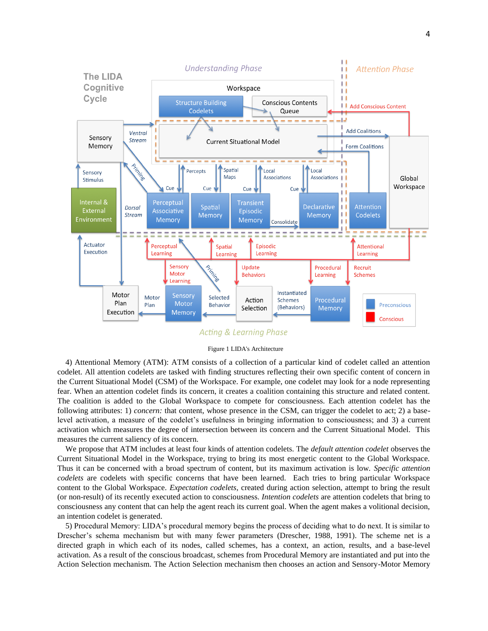

**Acting & Learning Phase** 

#### Figure 1 LIDA's Architecture

4) Attentional Memory (ATM): ATM consists of a collection of a particular kind of codelet called an attention codelet. All attention codelets are tasked with finding structures reflecting their own specific content of concern in the Current Situational Model (CSM) of the Workspace. For example, one codelet may look for a node representing fear. When an attention codelet finds its concern, it creates a coalition containing this structure and related content. The coalition is added to the Global Workspace to compete for consciousness. Each attention codelet has the following attributes: 1) *concern*: that content, whose presence in the CSM, can trigger the codelet to act; 2) a baselevel activation, a measure of the codelet's usefulness in bringing information to consciousness; and 3) a current activation which measures the degree of intersection between its concern and the Current Situational Model. This measures the current saliency of its concern.

We propose that ATM includes at least four kinds of attention codelets. The *default attention codelet* observes the Current Situational Model in the Workspace, trying to bring its most energetic content to the Global Workspace. Thus it can be concerned with a broad spectrum of content, but its maximum activation is low. *Specific attention codelets* are codelets with specific concerns that have been learned. Each tries to bring particular Workspace content to the Global Workspace. *Expectation codelets*, created during action selection, attempt to bring the result (or non-result) of its recently executed action to consciousness. *Intention codelets* are attention codelets that bring to consciousness any content that can help the agent reach its current goal. When the agent makes a volitional decision, an intention codelet is generated.

5) Procedural Memory: LIDA's procedural memory begins the process of deciding what to do next. It is similar to Drescher's schema mechanism but with many fewer parameters [\(Drescher, 1988,](#page-13-19) [1991\)](#page-13-18). The scheme net is a directed graph in which each of its nodes, called schemes, has a context, an action, results, and a base-level activation. As a result of the conscious broadcast, schemes from Procedural Memory are instantiated and put into the Action Selection mechanism. The Action Selection mechanism then chooses an action and Sensory-Motor Memory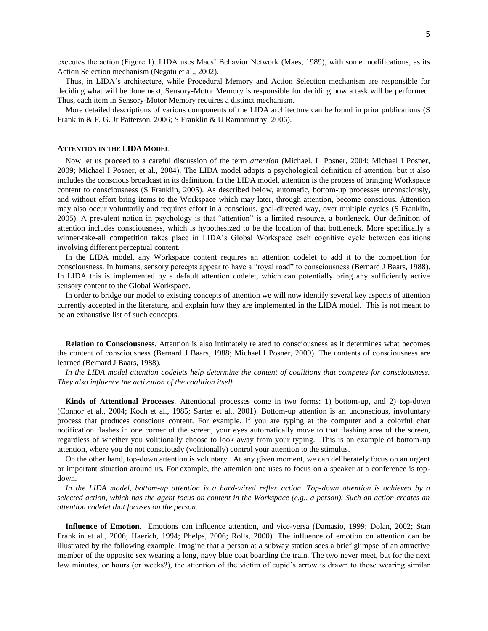executes the action (Figure 1). LIDA uses Maes' Behavior Network [\(Maes, 1989\)](#page-14-14), with some modifications, as its Action Selection mechanism [\(Negatu et al., 2002\)](#page-14-15).

Thus, in LIDA's architecture, while Procedural Memory and Action Selection mechanism are responsible for deciding what will be done next, Sensory-Motor Memory is responsible for deciding how a task will be performed. Thus, each item in Sensory-Motor Memory requires a distinct mechanism.

More detailed descriptions of various components of the LIDA architecture can be found in prior publications [\(S](#page-13-20)  [Franklin & F. G. Jr Patterson, 2006;](#page-13-20) [S Franklin & U Ramamurthy, 2006\)](#page-13-21).

## **ATTENTION IN THE LIDA MODEL**

Now let us proceed to a careful discussion of the term *attention* [\(Michael. I Posner, 2004;](#page-14-16) [Michael I Posner,](#page-14-17)  [2009;](#page-14-17) [Michael I Posner, et al., 2004\)](#page-14-4). The LIDA model adopts a psychological definition of attention, but it also includes the conscious broadcast in its definition. In the LIDA model, attention is the process of bringing Workspace content to consciousness [\(S Franklin, 2005\)](#page-13-1). As described below, automatic, bottom-up processes unconsciously, and without effort bring items to the Workspace which may later, through attention, become conscious. Attention may also occur voluntarily and requires effort in a conscious, goal-directed way, over multiple cycles [\(S Franklin,](#page-13-1)  [2005\)](#page-13-1). A prevalent notion in psychology is that "attention" is a limited resource, a bottleneck. Our definition of attention includes consciousness, which is hypothesized to be the location of that bottleneck. More specifically a winner-take-all competition takes place in LIDA's Global Workspace each cognitive cycle between coalitions involving different perceptual content.

In the LIDA model, any Workspace content requires an attention codelet to add it to the competition for consciousness. In humans, sensory percepts appear to have a "royal road" to consciousness [\(Bernard J Baars, 1988\)](#page-12-1). In LIDA this is implemented by a default attention codelet, which can potentially bring any sufficiently active sensory content to the Global Workspace.

In order to bridge our model to existing concepts of attention we will now identify several key aspects of attention currently accepted in the literature, and explain how they are implemented in the LIDA model. This is not meant to be an exhaustive list of such concepts.

**Relation to Consciousness**. Attention is also intimately related to consciousness as it determines what becomes the content of consciousness [\(Bernard J Baars, 1988;](#page-12-1) [Michael I Posner, 2009\)](#page-14-17). The contents of consciousness are learned [\(Bernard J Baars, 1988\)](#page-12-1).

*In the LIDA model attention codelets help determine the content of coalitions that competes for consciousness. They also influence the activation of the coalition itself.*

**Kinds of Attentional Processes**. Attentional processes come in two forms: 1) bottom-up, and 2) top-down [\(Connor et al., 2004;](#page-12-8) [Koch et al., 1985;](#page-13-22) [Sarter et al., 2001\)](#page-14-18). Bottom-up attention is an unconscious, involuntary process that produces conscious content. For example, if you are typing at the computer and a colorful chat notification flashes in one corner of the screen, your eyes automatically move to that flashing area of the screen, regardless of whether you volitionally choose to look away from your typing. This is an example of bottom-up attention, where you do not consciously (volitionally) control your attention to the stimulus.

On the other hand, top-down attention is voluntary. At any given moment, we can deliberately focus on an urgent or important situation around us. For example, the attention one uses to focus on a speaker at a conference is topdown.

*In the LIDA model, bottom-up attention is a hard-wired reflex action. Top-down attention is achieved by a selected action, which has the agent focus on content in the Workspace (e.g., a person). Such an action creates an attention codelet that focuses on the person.*

**Influence of Emotion**. Emotions can influence attention, and vice-versa [\(Damasio, 1999;](#page-12-9) [Dolan, 2002;](#page-12-10) [Stan](#page-13-23)  [Franklin et al., 2006;](#page-13-23) [Haerich, 1994;](#page-13-24) [Phelps, 2006;](#page-14-19) [Rolls, 2000\)](#page-14-20). The influence of emotion on attention can be illustrated by the following example. Imagine that a person at a subway station sees a brief glimpse of an attractive member of the opposite sex wearing a long, navy blue coat boarding the train. The two never meet, but for the next few minutes, or hours (or weeks?), the attention of the victim of cupid's arrow is drawn to those wearing similar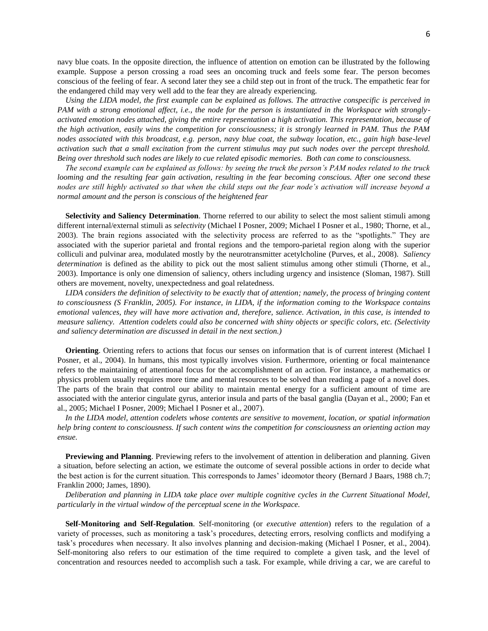navy blue coats. In the opposite direction, the influence of attention on emotion can be illustrated by the following example. Suppose a person crossing a road sees an oncoming truck and feels some fear. The person becomes conscious of the feeling of fear. A second later they see a child step out in front of the truck. The empathetic fear for the endangered child may very well add to the fear they are already experiencing.

*Using the LIDA model, the first example can be explained as follows. The attractive conspecific is perceived in PAM with a strong emotional affect, i.e., the node for the person is instantiated in the Workspace with stronglyactivated emotion nodes attached, giving the entire representation a high activation. This representation, because of the high activation, easily wins the competition for consciousness; it is strongly learned in PAM. Thus the PAM nodes associated with this broadcast, e.g. person, navy blue coat, the subway location, etc., gain high base-level activation such that a small excitation from the current stimulus may put such nodes over the percept threshold. Being over threshold such nodes are likely to cue related episodic memories. Both can come to consciousness.*

*The second example can be explained as follows: by seeing the truck the person's PAM nodes related to the truck looming and the resulting fear gain activation, resulting in the fear becoming conscious. After one second these nodes are still highly activated so that when the child steps out the fear node's activation will increase beyond a normal amount and the person is conscious of the heightened fear*

**Selectivity and Saliency Determination**. Thorne referred to our ability to select the most salient stimuli among different internal/external stimuli as *selectivity* [\(Michael I Posner, 2009;](#page-14-17) [Michael I Posner et al., 1980;](#page-14-21) [Thorne, et al.,](#page-14-0)  [2003\)](#page-14-0). The brain regions associated with the selectivity process are referred to as the "spotlights." They are associated with the superior parietal and frontal regions and the temporo-parietal region along with the superior colliculi and pulvinar area, modulated mostly by the neurotransmitter acetylcholine [\(Purves, et al., 2008\)](#page-14-2). *Saliency determination* is defined as the ability to pick out the most salient stimulus among other stimuli (Thorne, et al., [2003\)](#page-14-0). Importance is only one dimension of saliency, others including urgency and insistence [\(Sloman, 1987\)](#page-14-22). Still others are movement, novelty, unexpectedness and goal relatedness.

*LIDA considers the definition of selectivity to be exactly that of attention; namely, the process of bringing content to consciousness [\(S Franklin, 2005\)](#page-13-1). For instance, in LIDA, if the information coming to the Workspace contains emotional valences, they will have more activation and, therefore, salience. Activation, in this case, is intended to measure saliency. Attention codelets could also be concerned with shiny objects or specific colors, etc. (Selectivity and saliency determination are discussed in detail in the next section.)* 

**Orienting**. Orienting refers to actions that focus our senses on information that is of current interest [\(Michael I](#page-14-4)  [Posner, et al., 2004\)](#page-14-4). In humans, this most typically involves vision. Furthermore, orienting or focal maintenance refers to the maintaining of attentional focus for the accomplishment of an action. For instance, a mathematics or physics problem usually requires more time and mental resources to be solved than reading a page of a novel does. The parts of the brain that control our ability to maintain mental energy for a sufficient amount of time are associated with the anterior cingulate gyrus, anterior insula and parts of the basal ganglia [\(Dayan et al., 2000;](#page-12-11) [Fan et](#page-13-25)  [al., 2005;](#page-13-25) [Michael I Posner, 2009;](#page-14-17) [Michael I Posner et al., 2007\)](#page-14-23).

*In the LIDA model, attention codelets whose contents are sensitive to movement, location, or spatial information help bring content to consciousness. If such content wins the competition for consciousness an orienting action may ensue.*

**Previewing and Planning**. Previewing refers to the involvement of attention in deliberation and planning. Given a situation, before selecting an action, we estimate the outcome of several possible actions in order to decide what the best action is for the current situation. This corresponds to James' ideomotor theory [\(Bernard J Baars, 1988 ch.7;](#page-12-1) [Franklin 2000;](#page-13-26) [James, 1890\)](#page-13-0).

*Deliberation and planning in LIDA take place over multiple cognitive cycles in the Current Situational Model, particularly in the virtual window of the perceptual scene in the Workspace.*

**Self-Monitoring and Self-Regulation**. Self-monitoring (or *executive attention*) refers to the regulation of a variety of processes, such as monitoring a task's procedures, detecting errors, resolving conflicts and modifying a task's procedures when necessary. It also involves planning and decision-making [\(Michael I Posner, et al., 2004\)](#page-14-4). Self-monitoring also refers to our estimation of the time required to complete a given task, and the level of concentration and resources needed to accomplish such a task. For example, while driving a car, we are careful to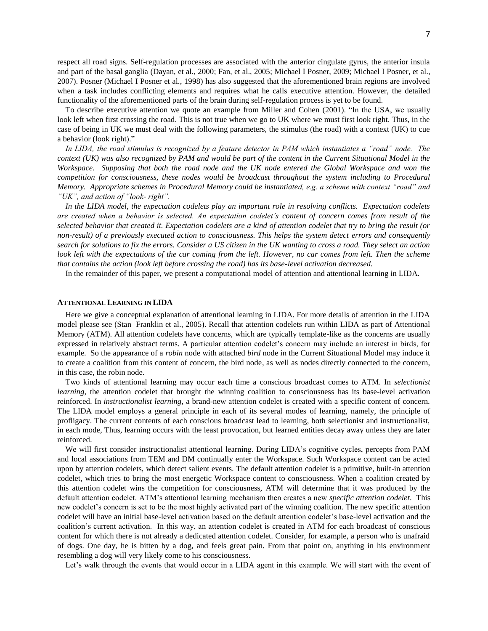respect all road signs. Self-regulation processes are associated with the anterior cingulate gyrus, the anterior insula and part of the basal ganglia (Dayan, [et al., 2000;](#page-12-11) [Fan, et al., 2005;](#page-13-25) [Michael I Posner, 2009;](#page-14-17) [Michael I Posner, et al.,](#page-14-23)  [2007\)](#page-14-23). Posner [\(Michael I Posner et al., 1998\)](#page-14-24) has also suggested that the aforementioned brain regions are involved when a task includes conflicting elements and requires what he calls executive attention. However, the detailed functionality of the aforementioned parts of the brain during self-regulation process is yet to be found.

To describe executive attention we quote an example from Miller and Cohen [\(2001\)](#page-14-25). "In the USA, we usually look left when first crossing the road. This is not true when we go to UK where we must first look right. Thus, in the case of being in UK we must deal with the following parameters, the stimulus (the road) with a context (UK) to cue a behavior (look right)."

*In LIDA, the road stimulus is recognized by a feature detector in PAM which instantiates a "road" node. The context (UK) was also recognized by PAM and would be part of the content in the Current Situational Model in the Workspace. Supposing that both the road node and the UK node entered the Global Workspace and won the competition for consciousness, these nodes would be broadcast throughout the system including to Procedural Memory. Appropriate schemes in Procedural Memory could be instantiated, e.g. a scheme with context "road" and "UK", and action of "look- right".* 

*In the LIDA model, the expectation codelets play an important role in resolving conflicts. Expectation codelets are created when a behavior is selected. An expectation codelet's content of concern comes from result of the selected behavior that created it. Expectation codelets are a kind of attention codelet that try to bring the result (or non-result) of a previously executed action to consciousness. This helps the system detect errors and consequently search for solutions to fix the errors. Consider a US citizen in the UK wanting to cross a road. They select an action look left with the expectations of the car coming from the left. However, no car comes from left. Then the scheme that contains the action (look left before crossing the road) has its base-level activation decreased.*

In the remainder of this paper, we present a computational model of attention and attentional learning in LIDA.

# **ATTENTIONAL LEARNING IN LIDA**

Here we give a conceptual explanation of attentional learning in LIDA. For more details of attention in the LIDA model please see [\(Stan Franklin et al., 2005\)](#page-13-27). Recall that attention codelets run within LIDA as part of Attentional Memory (ATM). All attention codelets have concerns, which are typically template-like as the concerns are usually expressed in relatively abstract terms. A particular attention codelet's concern may include an interest in birds, for example. So the appearance of a *robin* node with attached *bird* node in the Current Situational Model may induce it to create a coalition from this content of concern, the bird node, as well as nodes directly connected to the concern, in this case, the robin node.

Two kinds of attentional learning may occur each time a conscious broadcast comes to ATM. In *selectionist learning,* the attention codelet that brought the winning coalition to consciousness has its base-level activation reinforced. In *instructionalist learning*, a brand-new attention codelet is created with a specific content of concern. The LIDA model employs a general principle in each of its several modes of learning, namely, the principle of profligacy. The current contents of each conscious broadcast lead to learning, both selectionist and instructionalist, in each mode, Thus, learning occurs with the least provocation, but learned entities decay away unless they are later reinforced.

We will first consider instructionalist attentional learning. During LIDA's cognitive cycles, percepts from PAM and local associations from TEM and DM continually enter the Workspace. Such Workspace content can be acted upon by attention codelets, which detect salient events. The default attention codelet is a primitive, built-in attention codelet, which tries to bring the most energetic Workspace content to consciousness. When a coalition created by this attention codelet wins the competition for consciousness, ATM will determine that it was produced by the default attention codelet. ATM's attentional learning mechanism then creates a new *specific attention codelet*. This new codelet's concern is set to be the most highly activated part of the winning coalition. The new specific attention codelet will have an initial base-level activation based on the default attention codelet's base-level activation and the coalition's current activation. In this way, an attention codelet is created in ATM for each broadcast of conscious content for which there is not already a dedicated attention codelet. Consider, for example, a person who is unafraid of dogs. One day, he is bitten by a dog, and feels great pain. From that point on, anything in his environment resembling a dog will very likely come to his consciousness.

Let's walk through the events that would occur in a LIDA agent in this example. We will start with the event of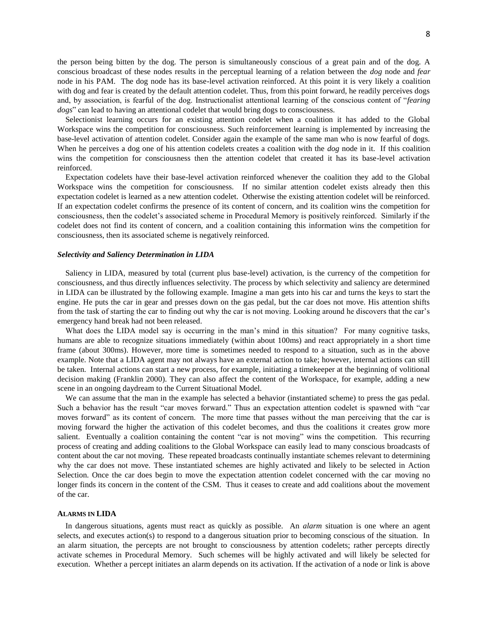the person being bitten by the dog. The person is simultaneously conscious of a great pain and of the dog. A conscious broadcast of these nodes results in the perceptual learning of a relation between the *dog* node and *fear* node in his PAM. The dog node has its base-level activation reinforced. At this point it is very likely a coalition with dog and fear is created by the default attention codelet. Thus, from this point forward, he readily perceives dogs and, by association, is fearful of the dog. Instructionalist attentional learning of the conscious content of "*fearing dogs*" can lead to having an attentional codelet that would bring dogs to consciousness.

Selectionist learning occurs for an existing attention codelet when a coalition it has added to the Global Workspace wins the competition for consciousness. Such reinforcement learning is implemented by increasing the base-level activation of attention codelet. Consider again the example of the same man who is now fearful of dogs. When he perceives a dog one of his attention codelets creates a coalition with the *dog* node in it. If this coalition wins the competition for consciousness then the attention codelet that created it has its base-level activation reinforced.

Expectation codelets have their base-level activation reinforced whenever the coalition they add to the Global Workspace wins the competition for consciousness. If no similar attention codelet exists already then this expectation codelet is learned as a new attention codelet. Otherwise the existing attention codelet will be reinforced. If an expectation codelet confirms the presence of its content of concern, and its coalition wins the competition for consciousness, then the codelet's associated scheme in Procedural Memory is positively reinforced. Similarly if the codelet does not find its content of concern, and a coalition containing this information wins the competition for consciousness, then its associated scheme is negatively reinforced.

# *Selectivity and Saliency Determination in LIDA*

Saliency in LIDA, measured by total (current plus base-level) activation, is the currency of the competition for consciousness, and thus directly influences selectivity. The process by which selectivity and saliency are determined in LIDA can be illustrated by the following example. Imagine a man gets into his car and turns the keys to start the engine. He puts the car in gear and presses down on the gas pedal, but the car does not move. His attention shifts from the task of starting the car to finding out why the car is not moving. Looking around he discovers that the car's emergency hand break had not been released.

What does the LIDA model say is occurring in the man's mind in this situation? For many cognitive tasks, humans are able to recognize situations immediately (within about 100ms) and react appropriately in a short time frame (about 300ms). However, more time is sometimes needed to respond to a situation, such as in the above example. Note that a LIDA agent may not always have an external action to take; however, internal actions can still be taken. Internal actions can start a new process, for example, initiating a timekeeper at the beginning of volitional decision making [\(Franklin 2000\)](#page-13-26). They can also affect the content of the Workspace, for example, adding a new scene in an ongoing daydream to the Current Situational Model.

We can assume that the man in the example has selected a behavior (instantiated scheme) to press the gas pedal. Such a behavior has the result "car moves forward." Thus an expectation attention codelet is spawned with "car moves forward" as its content of concern. The more time that passes without the man perceiving that the car is moving forward the higher the activation of this codelet becomes, and thus the coalitions it creates grow more salient. Eventually a coalition containing the content "car is not moving" wins the competition. This recurring process of creating and adding coalitions to the Global Workspace can easily lead to many conscious broadcasts of content about the car not moving. These repeated broadcasts continually instantiate schemes relevant to determining why the car does not move. These instantiated schemes are highly activated and likely to be selected in Action Selection. Once the car does begin to move the expectation attention codelet concerned with the car moving no longer finds its concern in the content of the CSM. Thus it ceases to create and add coalitions about the movement of the car.

## **ALARMS IN LIDA**

In dangerous situations, agents must react as quickly as possible. An *alarm* situation is one where an agent selects, and executes action(s) to respond to a dangerous situation prior to becoming conscious of the situation. In an alarm situation, the percepts are not brought to consciousness by attention codelets; rather percepts directly activate schemes in Procedural Memory. Such schemes will be highly activated and will likely be selected for execution. Whether a percept initiates an alarm depends on its activation. If the activation of a node or link is above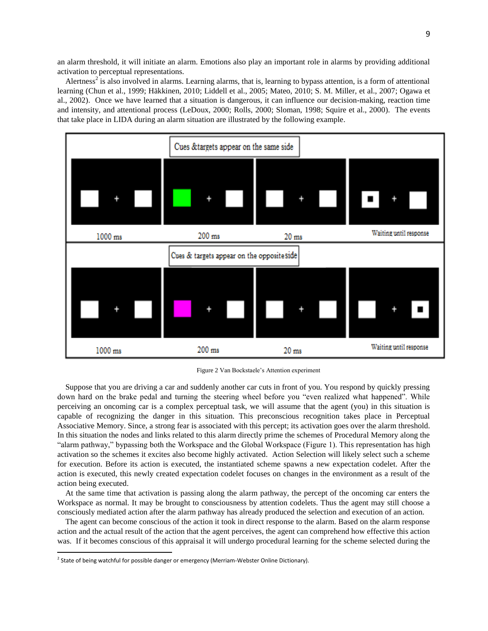an alarm threshold, it will initiate an alarm. Emotions also play an important role in alarms by providing additional activation to perceptual representations.

Alertness<sup>2</sup> is also involved in alarms. Learning alarms, that is, learning to bypass attention, is a form of attentional learning [\(Chun et al., 1999;](#page-12-12) [Häkkinen, 2010;](#page-13-8) [Liddell et al., 2005;](#page-14-26) [Mateo, 2010;](#page-14-5) [S. M. Miller, et al., 2007;](#page-14-6) [Ogawa et](#page-14-27)  [al., 2002\)](#page-14-27). Once we have learned that a situation is dangerous, it can influence our decision-making, reaction time and intensity, and attentional process [\(LeDoux, 2000;](#page-13-28) [Rolls, 2000;](#page-14-20) [Sloman, 1998;](#page-14-28) [Squire et al., 2000\)](#page-14-29). The events that take place in LIDA during an alarm situation are illustrated by the following example.



Figure 2 Van Bockstaele's Attention experiment

Suppose that you are driving a car and suddenly another car cuts in front of you. You respond by quickly pressing down hard on the brake pedal and turning the steering wheel before you "even realized what happened". While perceiving an oncoming car is a complex perceptual task, we will assume that the agent (you) in this situation is capable of recognizing the danger in this situation. This preconscious recognition takes place in Perceptual Associative Memory. Since, a strong fear is associated with this percept; its activation goes over the alarm threshold. In this situation the nodes and links related to this alarm directly prime the schemes of Procedural Memory along the "alarm pathway," bypassing both the Workspace and the Global Workspace (Figure 1). This representation has high activation so the schemes it excites also become highly activated. Action Selection will likely select such a scheme for execution. Before its action is executed, the instantiated scheme spawns a new expectation codelet. After the action is executed, this newly created expectation codelet focuses on changes in the environment as a result of the action being executed.

At the same time that activation is passing along the alarm pathway, the percept of the oncoming car enters the Workspace as normal*.* It may be brought to consciousness by attention codelets. Thus the agent may still choose a consciously mediated action after the alarm pathway has already produced the selection and execution of an action.

The agent can become conscious of the action it took in direct response to the alarm. Based on the alarm response action and the actual result of the action that the agent perceives, the agent can comprehend how effective this action was. If it becomes conscious of this appraisal it will undergo procedural learning for the scheme selected during the

 $\overline{\phantom{a}}$ 

 $^2$  State of being watchful for possible danger or emergency (Merriam-Webster Online Dictionary).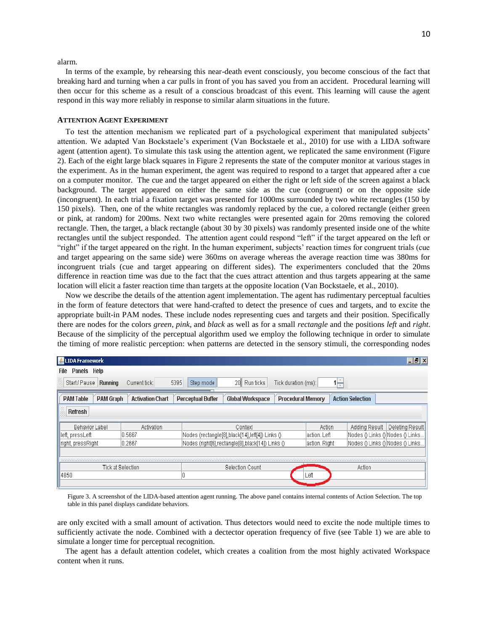alarm.

In terms of the example, by rehearsing this near-death event consciously, you become conscious of the fact that breaking hard and turning when a car pulls in front of you has saved you from an accident. Procedural learning will then occur for this scheme as a result of a conscious broadcast of this event. This learning will cause the agent respond in this way more reliably in response to similar alarm situations in the future.

# **ATTENTION AGENT EXPERIMENT**

To test the attention mechanism we replicated part of a psychological experiment that manipulated subjects' attention. We adapted Van Bockstaele's experiment [\(Van Bockstaele et al., 2010\)](#page-14-30) for use with a LIDA software agent (attention agent). To simulate this task using the attention agent, we replicated the same environment (Figure 2). Each of the eight large black squares in Figure 2 represents the state of the computer monitor at various stages in the experiment. As in the human experiment, the agent was required to respond to a target that appeared after a cue on a computer monitor. The cue and the target appeared on either the right or left side of the screen against a black background. The target appeared on either the same side as the cue (congruent) or on the opposite side (incongruent). In each trial a fixation target was presented for 1000ms surrounded by two white rectangles (150 by 150 pixels). Then, one of the white rectangles was randomly replaced by the cue, a colored rectangle (either green or pink, at random) for 200ms. Next two white rectangles were presented again for 20ms removing the colored rectangle. Then, the target, a black rectangle (about 30 by 30 pixels) was randomly presented inside one of the white rectangles until the subject responded. The attention agent could respond "left" if the target appeared on the left or "right" if the target appeared on the right. In the human experiment, subjects' reaction times for congruent trials (cue and target appearing on the same side) were 360ms on average whereas the average reaction time was 380ms for incongruent trials (cue and target appearing on different sides). The experimenters concluded that the 20ms difference in reaction time was due to the fact that the cues attract attention and thus targets appearing at the same location will elicit a faster reaction time than targets at the opposite location [\(Van Bockstaele, et al., 2010\)](#page-14-30).

Now we describe the details of the attention agent implementation. The agent has rudimentary perceptual faculties in the form of feature detectors that were hand-crafted to detect the presence of cues and targets, and to excite the appropriate built-in PAM nodes. These include nodes representing cues and targets and their position. Specifically there are nodes for the colors *green*, *pink*, and *black* as well as for a small *rectangle* and the positions *left* and *right*. Because of the simplicity of the perceptual algorithm used we employ the following technique in order to simulate the timing of more realistic perception: when patterns are detected in the sensory stimuli, the corresponding nodes

| $\Box$ ll $\times$<br>LIDA Framework                                                                                                                                          |            |                        |                                                  |        |               |               |                                  |  |
|-------------------------------------------------------------------------------------------------------------------------------------------------------------------------------|------------|------------------------|--------------------------------------------------|--------|---------------|---------------|----------------------------------|--|
| Help<br>Panels<br>File                                                                                                                                                        |            |                        |                                                  |        |               |               |                                  |  |
| 20 Run ticks<br>Start / Pause<br>Tick duration (ms):<br>5395<br>Current tick:<br><b>Running</b><br>Step mode<br>1⊢                                                            |            |                        |                                                  |        |               |               |                                  |  |
| <b>PAM Graph</b><br><b>Activation Chart</b><br><b>Perceptual Buffer</b><br><b>Action Selection</b><br><b>PAM Table</b><br><b>Global Workspace</b><br><b>Procedural Memory</b> |            |                        |                                                  |        |               |               |                                  |  |
| Refresh                                                                                                                                                                       |            |                        |                                                  |        |               |               |                                  |  |
| Behavior Label                                                                                                                                                                | Activation |                        | Context                                          |        | Action        | Adding Result | Deleting Result                  |  |
| lleft, pressLeft                                                                                                                                                              | 10.5667    |                        | Nodes (rectangle[8],black[14],left[4]) Links ()  |        | 'action. Left |               | Nodes () Links () Nodes () Links |  |
| right, pressRight                                                                                                                                                             | 0.2667     |                        | Nodes (right[6],rectangle[8],black[14]) Links () |        | action. Right |               | Nodes () Links () Nodes () Links |  |
|                                                                                                                                                                               |            |                        |                                                  |        |               |               |                                  |  |
| <b>Tick at Selection</b>                                                                                                                                                      |            | <b>Selection Count</b> |                                                  | Action |               |               |                                  |  |
| 4850                                                                                                                                                                          |            | U                      |                                                  |        | Left          |               |                                  |  |
|                                                                                                                                                                               |            |                        |                                                  |        |               |               |                                  |  |

Figure 3. A screenshot of the LIDA-based attention agent running. The above panel contains internal contents of Action Selection. The top table in this panel displays candidate behaviors.

are only excited with a small amount of activation. Thus detectors would need to excite the node multiple times to sufficiently activate the node. Combined with a dectector operation frequency of five (see Table 1) we are able to simulate a longer time for perceptual recognition.

The agent has a default attention codelet, which creates a coalition from the most highly activated Workspace content when it runs.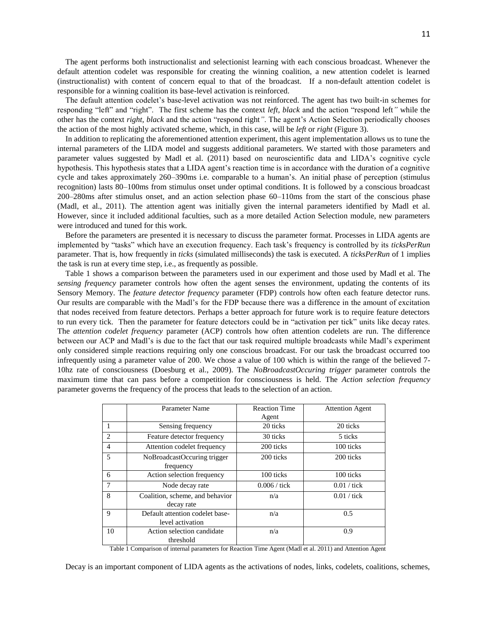The agent performs both instructionalist and selectionist learning with each conscious broadcast. Whenever the default attention codelet was responsible for creating the winning coalition, a new attention codelet is learned (instructionalist) with content of concern equal to that of the broadcast. If a non-default attention codelet is responsible for a winning coalition its base-level activation is reinforced.

The default attention codelet's base-level activation was not reinforced. The agent has two built-in schemes for responding "left" and "right". The first scheme has the context *left, black* and the action "respond left*"* while the other has the context *right, black* and the action "respond right*"*. The agent's Action Selection periodically chooses the action of the most highly activated scheme, which, in this case, will be *left* or *right* (Figure 3).

In addition to replicating the aforementioned attention experiment, this agent implementation allows us to tune the internal parameters of the LIDA model and suggests additional parameters. We started with those parameters and parameter values suggested by Madl et al. [\(2011\)](#page-14-31) based on neuroscientific data and LIDA's cognitive cycle hypothesis. This hypothesis states that a LIDA agent's reaction time is in accordance with the duration of a cognitive cycle and takes approximately 260–390ms i.e. comparable to a human's. An initial phase of perception (stimulus recognition) lasts 80–100ms from stimulus onset under optimal conditions. It is followed by a conscious broadcast 200–280ms after stimulus onset, and an action selection phase 60–110ms from the start of the conscious phase [\(Madl, et al., 2011\)](#page-14-31). The attention agent was initially given the internal parameters identified by Madl et al. However, since it included additional faculties, such as a more detailed Action Selection module, new parameters were introduced and tuned for this work.

Before the parameters are presented it is necessary to discuss the parameter format. Processes in LIDA agents are implemented by "tasks" which have an execution frequency. Each task's frequency is controlled by its *ticksPerRun* parameter. That is, how frequently in *ticks* (simulated milliseconds) the task is executed. A *ticksPerRun* of 1 implies the task is run at every time step, i.e., as frequently as possible.

Table 1 shows a comparison between the parameters used in our experiment and those used by Madl et al. The *sensing frequency* parameter controls how often the agent senses the environment, updating the contents of its Sensory Memory. The *feature detector frequency* parameter (FDP) controls how often each feature detector runs. Our results are comparable with the Madl's for the FDP because there was a difference in the amount of excitation that nodes received from feature detectors. Perhaps a better approach for future work is to require feature detectors to run every tick. Then the parameter for feature detectors could be in "activation per tick" units like decay rates. The *attention codelet frequency* parameter (ACP) controls how often attention codelets are run. The difference between our ACP and Madl's is due to the fact that our task required multiple broadcasts while Madl's experiment only considered simple reactions requiring only one conscious broadcast. For our task the broadcast occurred too infrequently using a parameter value of 200. We chose a value of 100 which is within the range of the believed 7- 10hz rate of consciousness [\(Doesburg et al., 2009\)](#page-12-13). The *NoBroadcastOccuring trigger* parameter controls the maximum time that can pass before a competition for consciousness is held. The *Action selection frequency*  parameter governs the frequency of the process that leads to the selection of an action.

|                | Parameter Name                                      | <b>Reaction Time</b> | <b>Attention Agent</b> |
|----------------|-----------------------------------------------------|----------------------|------------------------|
|                |                                                     | Agent                |                        |
| 1              | Sensing frequency                                   | 20 ticks             | 20 ticks               |
| $\overline{2}$ | Feature detector frequency                          | 30 ticks             | 5 ticks                |
| $\overline{4}$ | Attention codelet frequency                         | 200 ticks            | 100 ticks              |
| 5              | NoBroadcastOccuring trigger<br>frequency            | 200 ticks            | 200 ticks              |
| 6              | Action selection frequency                          | 100 ticks            | 100 ticks              |
| $\overline{7}$ | Node decay rate                                     | $0.006 /$ tick       | $0.01 /$ tick          |
| 8              | Coalition, scheme, and behavior<br>decay rate       | n/a                  | $0.01 /$ tick          |
| 9              | Default attention codelet base-<br>level activation | n/a                  | 0.5                    |
| 10             | Action selection candidate<br>threshold             | n/a                  | 0.9                    |

Table 1 Comparison of internal parameters for Reaction Time Agent (Madl et al. 2011) and Attention Agent

Decay is an important component of LIDA agents as the activations of nodes, links, codelets, coalitions, schemes,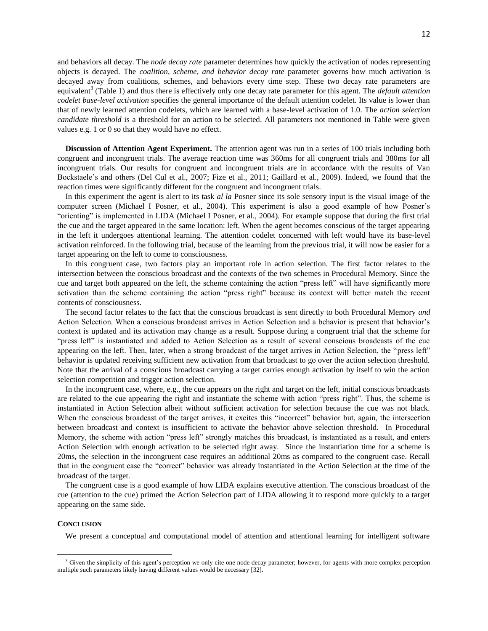and behaviors all decay. The *node decay rate* parameter determines how quickly the activation of nodes representing objects is decayed. The *coalition*, *scheme, and behavior decay rate* parameter governs how much activation is decayed away from coalitions, schemes, and behaviors every time step. These two decay rate parameters are equivalent<sup>3</sup> (Table 1) and thus there is effectively only one decay rate parameter for this agent. The *default attention codelet base-level activation* specifies the general importance of the default attention codelet. Its value is lower than that of newly learned attention codelets, which are learned with a base-level activation of 1.0. The *action selection candidate threshold* is a threshold for an action to be selected. All parameters not mentioned in Table were given values e.g. 1 or 0 so that they would have no effect.

**Discussion of Attention Agent Experiment.** The attention agent was run in a series of 100 trials including both congruent and incongruent trials. The average reaction time was 360ms for all congruent trials and 380ms for all incongruent trials. Our results for congruent and incongruent trials are in accordance with the results of Van Bockstaele's and others [\(Del Cul et al., 2007;](#page-12-14) [Fize et al., 2011;](#page-13-29) [Gaillard et al., 2009\)](#page-13-30). Indeed, we found that the reaction times were significantly different for the congruent and incongruent trials.

In this experiment the agent is alert to its task *al la* Posner since its sole sensory input is the visual image of the computer screen [\(Michael I Posner, et al., 2004\)](#page-14-4). This experiment is also a good example of how Posner's "orienting" is implemented in LIDA [\(Michael I Posner, et al., 2004\)](#page-14-4). For example suppose that during the first trial the cue and the target appeared in the same location: left. When the agent becomes conscious of the target appearing in the left it undergoes attentional learning. The attention codelet concerned with left would have its base-level activation reinforced. In the following trial, because of the learning from the previous trial, it will now be easier for a target appearing on the left to come to consciousness.

In this congruent case, two factors play an important role in action selection. The first factor relates to the intersection between the conscious broadcast and the contexts of the two schemes in Procedural Memory. Since the cue and target both appeared on the left, the scheme containing the action "press left" will have significantly more activation than the scheme containing the action "press right" because its context will better match the recent contents of consciousness.

The second factor relates to the fact that the conscious broadcast is sent directly to both Procedural Memory *and* Action Selection. When a conscious broadcast arrives in Action Selection and a behavior is present that behavior's context is updated and its activation may change as a result. Suppose during a congruent trial that the scheme for "press left" is instantiated and added to Action Selection as a result of several conscious broadcasts of the cue appearing on the left. Then, later, when a strong broadcast of the target arrives in Action Selection, the "press left" behavior is updated receiving sufficient new activation from that broadcast to go over the action selection threshold. Note that the arrival of a conscious broadcast carrying a target carries enough activation by itself to win the action selection competition and trigger action selection.

In the incongruent case, where, e.g., the cue appears on the right and target on the left, initial conscious broadcasts are related to the cue appearing the right and instantiate the scheme with action "press right". Thus, the scheme is instantiated in Action Selection albeit without sufficient activation for selection because the cue was not black. When the conscious broadcast of the target arrives, it excites this "incorrect" behavior but, again, the intersection between broadcast and context is insufficient to activate the behavior above selection threshold. In Procedural Memory, the scheme with action "press left" strongly matches this broadcast, is instantiated as a result, and enters Action Selection with enough activation to be selected right away. Since the instantiation time for a scheme is 20ms, the selection in the incongruent case requires an additional 20ms as compared to the congruent case. Recall that in the congruent case the "correct" behavior was already instantiated in the Action Selection at the time of the broadcast of the target.

The congruent case is a good example of how LIDA explains executive attention. The conscious broadcast of the cue (attention to the cue) primed the Action Selection part of LIDA allowing it to respond more quickly to a target appearing on the same side.

#### **CONCLUSION**

l

We present a conceptual and computational model of attention and attentional learning for intelligent software

<sup>&</sup>lt;sup>3</sup> Given the simplicity of this agent's perception we only cite one node decay parameter; however, for agents with more complex perception multiple such parameters likely having different values would be necessary [32].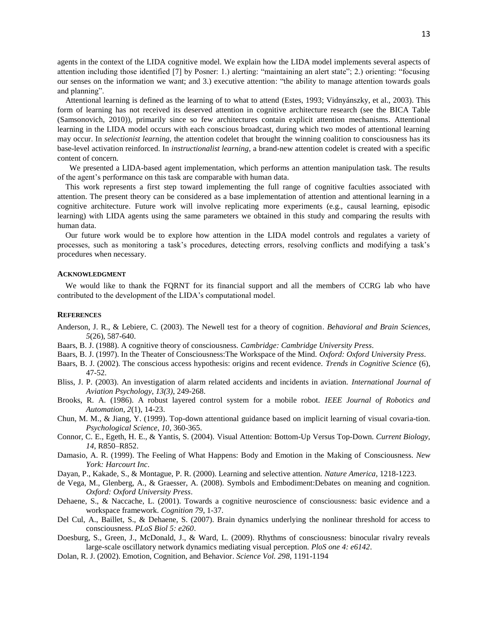agents in the context of the LIDA cognitive model. We explain how the LIDA model implements several aspects of attention including those identified [7] by Posner: 1.) alerting: "maintaining an alert state"; 2.) orienting: "focusing our senses on the information we want; and 3.) executive attention: "the ability to manage attention towards goals and planning".

Attentional learning is defined as the learning of to what to attend [\(Estes, 1993;](#page-13-2) [Vidnyánszky, et al., 2003\)](#page-15-0). This form of learning has not received its deserved attention in cognitive architecture research (see the BICA Table [\(Samsonovich, 2010\)](#page-14-13)), primarily since so few architectures contain explicit attention mechanisms. Attentional learning in the LIDA model occurs with each conscious broadcast, during which two modes of attentional learning may occur. In *selectionist learning,* the attention codelet that brought the winning coalition to consciousness has its base-level activation reinforced. In *instructionalist learning*, a brand-new attention codelet is created with a specific content of concern.

 We presented a LIDA-based agent implementation, which performs an attention manipulation task. The results of the agent's performance on this task are comparable with human data.

This work represents a first step toward implementing the full range of cognitive faculties associated with attention. The present theory can be considered as a base implementation of attention and attentional learning in a cognitive architecture. Future work will involve replicating more experiments (e.g., causal learning, episodic learning) with LIDA agents using the same parameters we obtained in this study and comparing the results with human data.

Our future work would be to explore how attention in the LIDA model controls and regulates a variety of processes, such as monitoring a task's procedures, detecting errors, resolving conflicts and modifying a task's procedures when necessary.

# **ACKNOWLEDGMENT**

We would like to thank the FQRNT for its financial support and all the members of CCRG lab who have contributed to the development of the LIDA's computational model.

# **REFERENCES**

- <span id="page-12-5"></span>Anderson, J. R., & Lebiere, C. (2003). The Newell test for a theory of cognition. *Behavioral and Brain Sciences, 5*(26), 587-640.
- <span id="page-12-1"></span>Baars, B. J. (1988). A cognitive theory of consciousness. *Cambridge: Cambridge University Press*.
- <span id="page-12-2"></span>Baars, B. J. (1997). In the Theater of Consciousness:The Workspace of the Mind. *Oxford: Oxford University Press*.
- <span id="page-12-3"></span>Baars, B. J. (2002). The conscious access hypothesis: origins and recent evidence. *Trends in Cognitive Science* (6), 47-52.
- <span id="page-12-0"></span>Bliss, J. P. (2003). An investigation of alarm related accidents and incidents in aviation. *International Journal of Aviation Psychology, 13(3)*, 249-268.
- <span id="page-12-7"></span>Brooks, R. A. (1986). A robust layered control system for a mobile robot. *IEEE Journal of Robotics and Automation, 2*(1), 14-23.
- <span id="page-12-12"></span>Chun, M. M., & Jiang, Y. (1999). Top-down attentional guidance based on implicit learning of visual covaria-tion. *Psychological Science, 10*, 360-365.
- <span id="page-12-8"></span>Connor, C. E., Egeth, H. E., & Yantis, S. (2004). Visual Attention: Bottom-Up Versus Top-Down. *Current Biology, 14*, R850–R852.
- <span id="page-12-9"></span>Damasio, A. R. (1999). The Feeling of What Happens: Body and Emotion in the Making of Consciousness. *New York: Harcourt Inc*.
- <span id="page-12-11"></span>Dayan, P., Kakade, S., & Montague, P. R. (2000). Learning and selective attention. *Nature America*, 1218-1223.
- <span id="page-12-6"></span>de Vega, M., Glenberg, A., & Graesser, A. (2008). Symbols and Embodiment:Debates on meaning and cognition. *Oxford: Oxford University Press*.
- <span id="page-12-4"></span>Dehaene, S., & Naccache, L. (2001). Towards a cognitive neuroscience of consciousness: basic evidence and a workspace framework. *Cognition 79*, 1-37.
- <span id="page-12-14"></span>Del Cul, A., Baillet, S., & Dehaene, S. (2007). Brain dynamics underlying the nonlinear threshold for access to consciousness. *PLoS Biol 5: e260*.
- <span id="page-12-13"></span>Doesburg, S., Green, J., McDonald, J., & Ward, L. (2009). Rhythms of consciousness: binocular rivalry reveals large-scale oscillatory network dynamics mediating visual perception. *PloS one 4: e6142*.
- <span id="page-12-10"></span>Dolan, R. J. (2002). Emotion, Cognition, and Behavior. *Science Vol. 298*, 1191-1194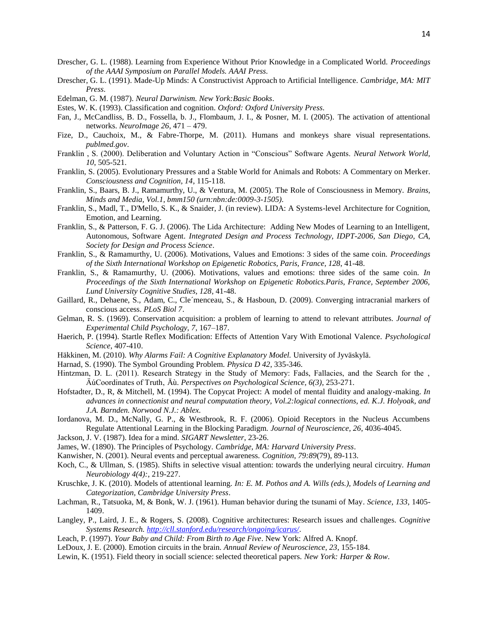- <span id="page-13-19"></span>Drescher, G. L. (1988). Learning from Experience Without Prior Knowledge in a Complicated World. *Proceedings of the AAAI Symposium on Parallel Models. AAAI Press*.
- <span id="page-13-18"></span>Drescher, G. L. (1991). Made-Up Minds: A Constructivist Approach to Artificial Intelligence. *Cambridge, MA: MIT Press*.
- <span id="page-13-10"></span>Edelman, G. M. (1987). *Neural Darwinism. New York:Basic Books*.
- <span id="page-13-2"></span>Estes, W. K. (1993). Classification and cognition. *Oxford: Oxford University Press*.
- <span id="page-13-25"></span>Fan, J., McCandliss, B. D., Fossella, b. J., Flombaum, J. I., & Posner, M. I. (2005). The activation of attentional networks. *NeuroImage 26*, 471 – 479.
- <span id="page-13-29"></span>Fize, D., Cauchoix, M., & Fabre-Thorpe, M. (2011). Humans and monkeys share visual representations. *publmed.gov*.
- <span id="page-13-26"></span>Franklin , S. (2000). Deliberation and Voluntary Action in "Conscious" Software Agents. *Neural Network World, 10*, 505-521.
- <span id="page-13-1"></span>Franklin, S. (2005). Evolutionary Pressures and a Stable World for Animals and Robots: A Commentary on Merker. *Consciousness and Cognition, 14*, 115-118.
- <span id="page-13-27"></span>Franklin, S., Baars, B. J., Ramamurthy, U., & Ventura, M. (2005). The Role of Consciousness in Memory. *Brains, Minds and Media, Vol.1, bmm150 (urn:nbn:de:0009-3-1505)*.
- <span id="page-13-16"></span>Franklin, S., Madl, T., D'Mello, S. K., & Snaider, J. (in review). LIDA: A Systems-level Architecture for Cognition, Emotion, and Learning.
- <span id="page-13-20"></span>Franklin, S., & Patterson, F. G. J. (2006). The Lida Architecture: Adding New Modes of Learning to an Intelligent, Autonomous, Software Agent. *Integrated Design and Process Technology, IDPT-2006, San Diego, CA, Society for Design and Process Science*.
- <span id="page-13-21"></span>Franklin, S., & Ramamurthy, U. (2006). Motivations, Values and Emotions: 3 sides of the same coin. *Proceedings of the Sixth International Workshop on Epigenetic Robotics, Paris, France, 128*, 41-48.
- <span id="page-13-23"></span>Franklin, S., & Ramamurthy, U. (2006). Motivations, values and emotions: three sides of the same coin. *In Proceedings of the Sixth International Workshop on Epigenetic Robotics.Paris, France, September 2006, Lund University Cognitive Studies, 128*, 41-48.
- <span id="page-13-30"></span>Gaillard, R., Dehaene, S., Adam, C., Cle´menceau, S., & Hasboun, D. (2009). Converging intracranial markers of conscious access. *PLoS Biol 7*.
- <span id="page-13-3"></span>Gelman, R. S. (1969). Conservation acquisition: a problem of learning to attend to relevant attributes. *Journal of Experimental Child Psychology, 7*, 167–187.
- <span id="page-13-24"></span>Haerich, P. (1994). Startle Reflex Modification: Effects of Attention Vary With Emotional Valence. *Psychological Science*, 407-410.
- <span id="page-13-8"></span>Häkkinen, M. (2010). *Why Alarms Fail: A Cognitive Explanatory Model.* University of Jyväskylä.
- <span id="page-13-17"></span>Harnad, S. (1990). The Symbol Grounding Problem. *Physica D 42*, 335-346.
- <span id="page-13-14"></span>Hintzman, D. L. (2011). Research Strategy in the Study of Memory: Fads, Fallacies, and the Search for the ÄúCoordinates of Truth' Äù. *Perspectives on Psychological Science, 6(3)*, 253-271.
- <span id="page-13-12"></span>Hofstadter, D., R, & Mitchell, M. (1994). The Copycat Project: A model of mental fluidity and analogy-making. *In advances in connectionist and neural computation theory, Vol.2:logical connections, ed. K.J. Holyoak, and J.A. Barnden. Norwood N.J.: Ablex.*
- <span id="page-13-5"></span>Iordanova, M. D., McNally, G. P., & Westbrook, R. F. (2006). Opioid Receptors in the Nucleus Accumbens Regulate Attentional Learning in the Blocking Paradigm. *Journal of Neuroscience, 26*, 4036-4045.
- <span id="page-13-11"></span>Jackson, J. V. (1987). Idea for a mind. *SIGART Newsletter*, 23-26.
- <span id="page-13-0"></span>James, W. (1890). The Principles of Psychology. *Cambridge, MA: Harvard University Press*.
- <span id="page-13-9"></span>Kanwisher, N. (2001). Neural events and perceptual awareness. *Cognition, 79:89*(79), 89-113.
- <span id="page-13-22"></span>Koch, C., & Ullman, S. (1985). Shifts in selective visual attention: towards the underlying neural circuitry. *Human Neurobiology 4(4):*, 219-227.
- <span id="page-13-4"></span>Kruschke, J. K. (2010). Models of attentional learning. *In: E. M. Pothos and A. Wills (eds.), Models of Learning and Categorization, Cambridge University Press*.
- <span id="page-13-7"></span>Lachman, R., Tatsuoka, M, & Bonk, W. J. (1961). Human behavior during the tsunami of May. *Science, 133*, 1405- 1409.
- <span id="page-13-15"></span>Langley, P., Laird, J. E., & Rogers, S. (2008). Cognitive architectures: Research issues and challenges. *Cognitive Systems Research.<http://cll.stanford.edu/research/ongoing/icarus/>*.
- <span id="page-13-6"></span>Leach, P. (1997). *Your Baby and Child: From Birth to Age Five*. New York: Alfred A. Knopf.
- <span id="page-13-28"></span>LeDoux, J. E. (2000). Emotion circuits in the brain. *Annual Review of Neuroscience, 23*, 155-184.
- <span id="page-13-13"></span>Lewin, K. (1951). Field theory in sociall science: selected theoretical papers. *New York: Harper & Row*.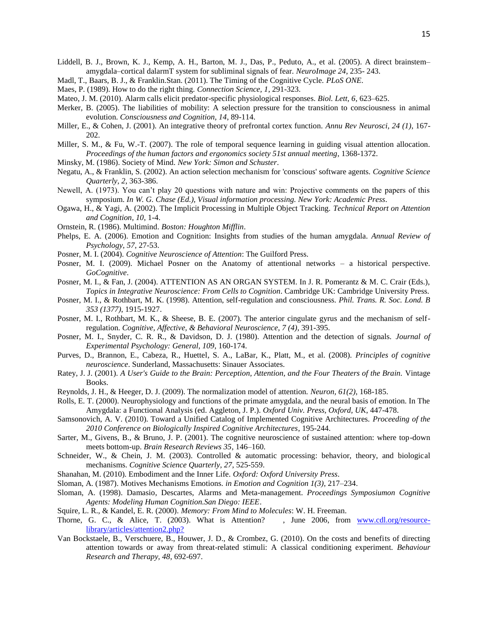- <span id="page-14-26"></span>Liddell, B. J., Brown, K. J., Kemp, A. H., Barton, M. J., Das, P., Peduto, A., et al. (2005). A direct brainstem– amygdala–cortical dalarmT system for subliminal signals of fear. *NeuroImage 24*, 235- 243.
- <span id="page-14-31"></span>Madl, T., Baars, B. J., & Franklin.Stan. (2011). The Timing of the Cognitive Cycle. *PLoS ONE*.
- <span id="page-14-14"></span>Maes, P. (1989). How to do the right thing. *Connection Science, 1*, 291-323.
- <span id="page-14-5"></span>Mateo, J. M. (2010). Alarm calls elicit predator-specific physiological responses. *Biol. Lett, 6*, 623–625.
- <span id="page-14-1"></span>Merker, B. (2005). The liabilities of mobility: A selection pressure for the transition to consciousness in animal evolution. *Consciousness and Cognition, 14*, 89-114.
- <span id="page-14-25"></span>Miller, E., & Cohen, J. (2001). An integrative theory of prefrontal cortex function. *Annu Rev Neurosci, 24 (1)*, 167- 202.
- <span id="page-14-6"></span>Miller, S. M., & Fu, W.-T. (2007). The role of temporal sequence learning in guiding visual attention allocation. *Proceedings of the human factors and ergonomics society 51st annual meeting*, 1368-1372.
- <span id="page-14-9"></span>Minsky, M. (1986). Society of Mind. *New York: Simon and Schuster*.
- <span id="page-14-15"></span>Negatu, A., & Franklin, S. (2002). An action selection mechanism for 'conscious' software agents. *Cognitive Science Quarterly, 2*, 363-386.
- <span id="page-14-12"></span>Newell, A. (1973). You can't play 20 questions with nature and win: Projective comments on the papers of this symposium. *In W. G. Chase (Ed.), Visual information processing. New York: Academic Press*.
- <span id="page-14-27"></span>Ogawa, H., & Yagi, A. (2002). The Implicit Processing in Multiple Object Tracking. *Technical Report on Attention and Cognition, 10*, 1-4.
- <span id="page-14-10"></span>Ornstein, R. (1986). Multimind. *Boston: Houghton Mifflin*.
- <span id="page-14-19"></span>Phelps, E. A. (2006). Emotion and Cognition: Insights from studies of the human amygdala. *Annual Review of Psychology, 57*, 27-53.
- <span id="page-14-16"></span>Posner, M. I. (2004). *Cognitive Neuroscience of Attention*: The Guilford Press.
- <span id="page-14-17"></span>Posner, M. I. (2009). Michael Posner on the Anatomy of attentional networks – a historical perspective. *GoCognitive*.
- <span id="page-14-4"></span>Posner, M. I., & Fan, J. (2004). ATTENTION AS AN ORGAN SYSTEM. In J. R. Pomerantz & M. C. Crair (Eds.), *Topics in Integrative Neuroscience: From Cells to Cognition*. Cambridge UK: Cambridge University Press.
- <span id="page-14-24"></span>Posner, M. I., & Rothbart, M. K. (1998). Attention, self-regulation and consciousness. *Phil. Trans. R. Soc. Lond. B 353 (1377)*, 1915-1927.
- <span id="page-14-23"></span>Posner, M. I., Rothbart, M. K., & Sheese, B. E. (2007). The anterior cingulate gyrus and the mechanism of selfregulation. *Cognitive, Affective, & Behavioral Neuroscience, 7 (4)*, 391-395.
- <span id="page-14-21"></span>Posner, M. I., Snyder, C. R. R., & Davidson, D. J. (1980). Attention and the detection of signals. *Journal of Experimental Psychology: General, 109*, 160-174.
- <span id="page-14-2"></span>Purves, D., Brannon, E., Cabeza, R., Huettel, S. A., LaBar, K., Platt, M., et al. (2008). *Principles of cognitive neuroscience*. Sunderland, Massachusetts: Sinauer Associates.
- <span id="page-14-3"></span>Ratey, J. J. (2001). *A User's Guide to the Brain: Perception, Attention, and the Four Theaters of the Brain.* Vintage Books.
- <span id="page-14-7"></span>Reynolds, J. H., & Heeger, D. J. (2009). The normalization model of attention. *Neuron, 61(2)*, 168-185.
- <span id="page-14-20"></span>Rolls, E. T. (2000). Neurophysiology and functions of the primate amygdala, and the neural basis of emotion. In The Amygdala: a Functional Analysis (ed. Aggleton, J. P.). *Oxford Univ. Press, Oxford, UK*, 447-478.
- <span id="page-14-13"></span>Samsonovich, A. V. (2010). Toward a Unified Catalog of Implemented Cognitive Architectures. *Proceeding of the 2010 Conference on Biologically Inspired Cognitive Architectures*, 195-244.
- <span id="page-14-18"></span>Sarter, M., Givens, B., & Bruno, J. P. (2001). The cognitive neuroscience of sustained attention: where top-down meets bottom-up. *Brain Research Reviews 35*, 146–160.
- <span id="page-14-11"></span>Schneider, W., & Chein, J. M. (2003). Controlled & automatic processing: behavior, theory, and biological mechanisms. *Cognitive Science Quarterly, 27*, 525-559.
- <span id="page-14-8"></span>Shanahan, M. (2010). Embodiment and the Inner Life. *Oxford: Oxford University Press*.
- <span id="page-14-22"></span>Sloman, A. (1987). Motives Mechanisms Emotions. *in Emotion and Cognition 1(3)*, 217–234.
- <span id="page-14-28"></span>Sloman, A. (1998). Damasio, Descartes, Alarms and Meta-management. *Proceedings Symposiumon Cognitive Agents: Modeling Human Cognition.San Diego: IEEE*.
- <span id="page-14-29"></span>Squire, L. R., & Kandel, E. R. (2000). *Memory: From Mind to Molecules*: W. H. Freeman.
- <span id="page-14-0"></span>Thorne, G. C., & Alice, T. (2003). What is Attention? , June 2006, from [www.cdl.org/resource](http://www.cdl.org/resource-library/articles/attention2.php?)[library/articles/attention2.php?](http://www.cdl.org/resource-library/articles/attention2.php?)
- <span id="page-14-30"></span>Van Bockstaele, B., Verschuere, B., Houwer, J. D., & Crombez, G. (2010). On the costs and benefits of directing attention towards or away from threat-related stimuli: A classical conditioning experiment. *Behaviour Research and Therapy, 48*, 692-697.